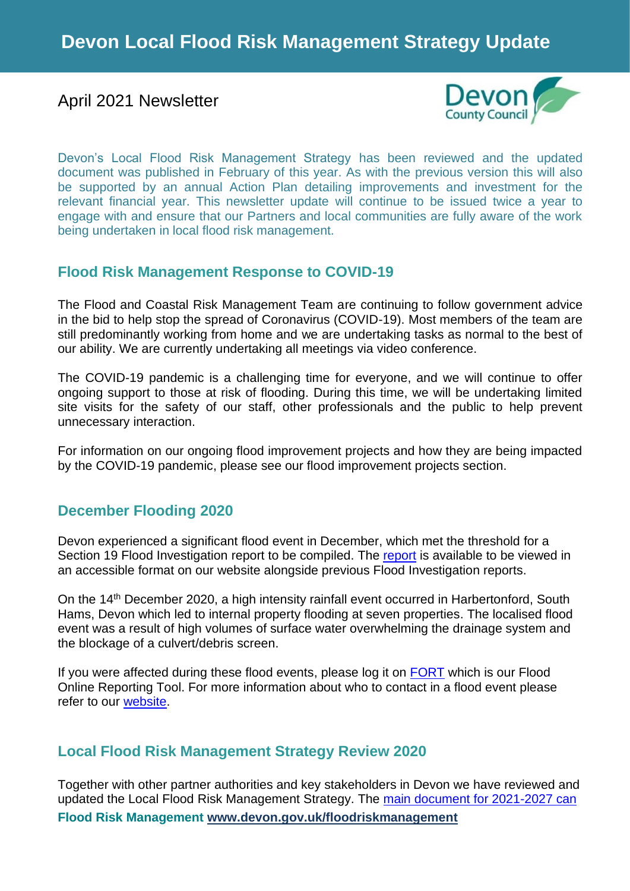## April 2021 Newsletter



Devon's Local Flood Risk Management Strategy has been reviewed and the updated document was published in February of this year. As with the previous version this will also be supported by an annual Action Plan detailing improvements and investment for the relevant financial year. This newsletter update will continue to be issued twice a year to engage with and ensure that our Partners and local communities are fully aware of the work being undertaken in local flood risk management.

## **Flood Risk Management Response to COVID-19**

The Flood and Coastal Risk Management Team are continuing to follow government advice in the bid to help stop the spread of Coronavirus (COVID-19). Most members of the team are still predominantly working from home and we are undertaking tasks as normal to the best of our ability. We are currently undertaking all meetings via video conference.

The COVID-19 pandemic is a challenging time for everyone, and we will continue to offer ongoing support to those at risk of flooding. During this time, we will be undertaking limited site visits for the safety of our staff, other professionals and the public to help prevent unnecessary interaction.

For information on our ongoing flood improvement projects and how they are being impacted by the COVID-19 pandemic, please see our flood improvement projects section.

## **December Flooding 2020**

Devon experienced a significant flood event in December, which met the threshold for a Section 19 Flood Investigation [report](https://www.devon.gov.uk/floodriskmanagement/document/harbertonford-flood-event-14th-december-2020/) to be compiled. The report is available to be viewed in an accessible format on our website alongside previous Flood Investigation reports.

On the 14<sup>th</sup> December 2020, a high intensity rainfall event occurred in Harbertonford, South Hams, Devon which led to internal property flooding at seven properties. The localised flood event was a result of high volumes of surface water overwhelming the drainage system and the blockage of a culvert/debris screen.

If you were affected during these flood events, please log it on **FORT** which is our Flood Online Reporting Tool. For more information about who to contact in a flood event please refer to our [website.](https://www.devon.gov.uk/floodriskmanagement/who-to-contact-if-you-experience-flooding/)

## **Local Flood Risk Management Strategy Review 2020**

**Flood Risk Management [www.devon.gov.uk/floodriskmanagement](http://www.devon.gov.uk/floodriskmanagement)** Together with other partner authorities and key stakeholders in Devon we have reviewed and updated the Local Flood Risk Management Strategy. The [main document for 2021-2027 can](https://www.devon.gov.uk/floodriskmanagement/document/devon-local-flood-risk-management-strategy-2021-2027/)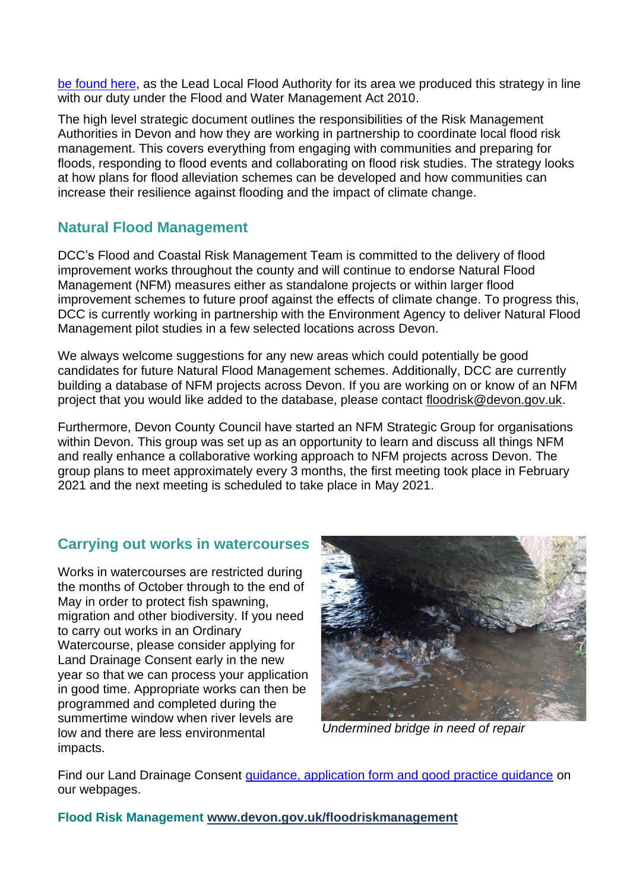[be found here,](https://www.devon.gov.uk/floodriskmanagement/document/devon-local-flood-risk-management-strategy-2021-2027/) as the Lead Local Flood Authority for its area we produced this strategy in line with our duty under the Flood and Water Management Act 2010.

The high level strategic document outlines the responsibilities of the Risk Management Authorities in Devon and how they are working in partnership to coordinate local flood risk management. This covers everything from engaging with communities and preparing for floods, responding to flood events and collaborating on flood risk studies. The strategy looks at how plans for flood alleviation schemes can be developed and how communities can increase their resilience against flooding and the impact of climate change.

## **Natural Flood Management**

DCC's Flood and Coastal Risk Management Team is committed to the delivery of flood improvement works throughout the county and will continue to endorse Natural Flood Management (NFM) measures either as standalone projects or within larger flood improvement schemes to future proof against the effects of climate change. To progress this, DCC is currently working in partnership with the Environment Agency to deliver Natural Flood Management pilot studies in a few selected locations across Devon.

We always welcome suggestions for any new areas which could potentially be good candidates for future Natural Flood Management schemes. Additionally, DCC are currently building a database of NFM projects across Devon. If you are working on or know of an NFM project that you would like added to the database, please contact [floodrisk@devon.gov.uk.](mailto:floodrisk@devon.gov.uk)

Furthermore, Devon County Council have started an NFM Strategic Group for organisations within Devon. This group was set up as an opportunity to learn and discuss all things NFM and really enhance a collaborative working approach to NFM projects across Devon. The group plans to meet approximately every 3 months, the first meeting took place in February 2021 and the next meeting is scheduled to take place in May 2021.

## **Carrying out works in watercourses**

Works in watercourses are restricted during the months of October through to the end of May in order to protect fish spawning, migration and other biodiversity. If you need to carry out works in an Ordinary Watercourse, please consider applying for Land Drainage Consent early in the new year so that we can process your application in good time. Appropriate works can then be programmed and completed during the summertime window when river levels are low and there are less environmental impacts.



*Under Undermined bridge in need of repair*

Find our Land Drainage Consent [guidance, application form and good practice guidance](https://www.devon.gov.uk/floodriskmanagement/land-drainage-consent/) on our webpages.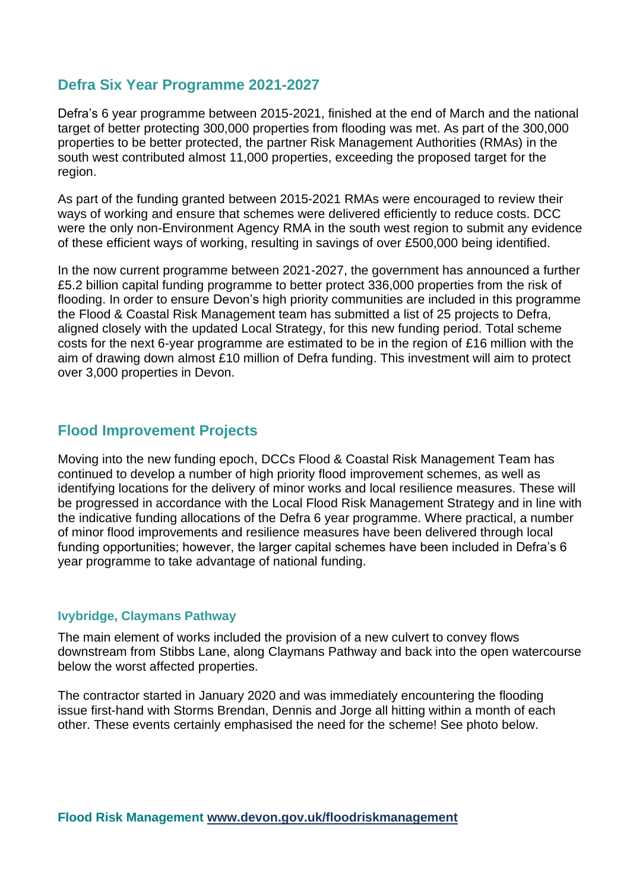## **Defra Six Year Programme 2021-2027**

Defra's 6 year programme between 2015-2021, finished at the end of March and the national target of better protecting 300,000 properties from flooding was met. As part of the 300,000 properties to be better protected, the partner Risk Management Authorities (RMAs) in the south west contributed almost 11,000 properties, exceeding the proposed target for the region.

As part of the funding granted between 2015-2021 RMAs were encouraged to review their ways of working and ensure that schemes were delivered efficiently to reduce costs. DCC were the only non-Environment Agency RMA in the south west region to submit any evidence of these efficient ways of working, resulting in savings of over £500,000 being identified.

In the now current programme between 2021-2027, the government has announced a further £5.2 billion capital funding programme to better protect 336,000 properties from the risk of flooding. In order to ensure Devon's high priority communities are included in this programme the Flood & Coastal Risk Management team has submitted a list of 25 projects to Defra, aligned closely with the updated Local Strategy, for this new funding period. Total scheme costs for the next 6-year programme are estimated to be in the region of £16 million with the aim of drawing down almost £10 million of Defra funding. This investment will aim to protect over 3,000 properties in Devon.

## **Flood Improvement Projects**

Moving into the new funding epoch, DCCs Flood & Coastal Risk Management Team has continued to develop a number of high priority flood improvement schemes, as well as identifying locations for the delivery of minor works and local resilience measures. These will be progressed in accordance with the Local Flood Risk Management Strategy and in line with the indicative funding allocations of the Defra 6 year programme. Where practical, a number of minor flood improvements and resilience measures have been delivered through local funding opportunities; however, the larger capital schemes have been included in Defra's 6 year programme to take advantage of national funding.

#### **Ivybridge, Claymans Pathway**

The main element of works included the provision of a new culvert to convey flows downstream from Stibbs Lane, along Claymans Pathway and back into the open watercourse below the worst affected properties.

The contractor started in January 2020 and was immediately encountering the flooding issue first-hand with Storms Brendan, Dennis and Jorge all hitting within a month of each other. These events certainly emphasised the need for the scheme! See photo below.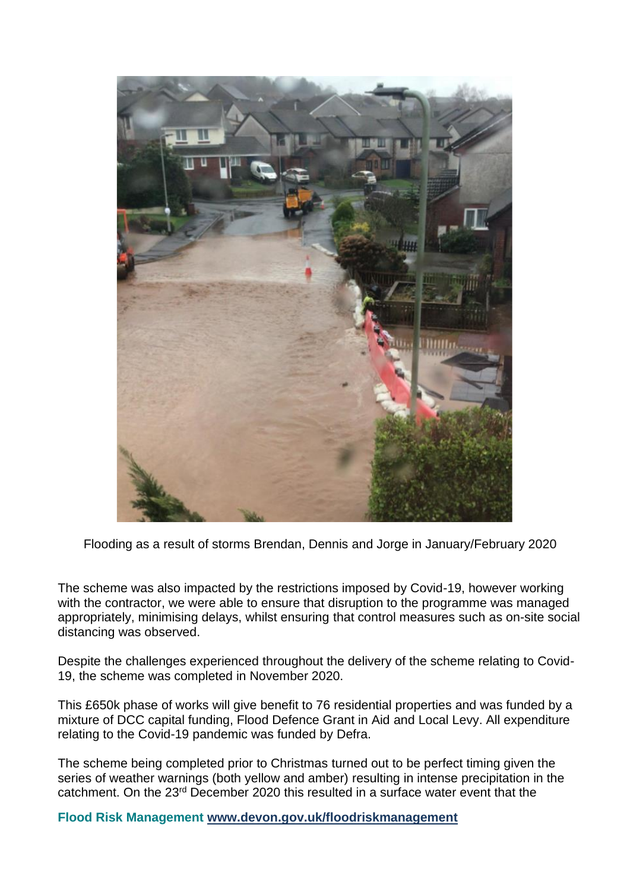

Flooding as a result of storms Brendan, Dennis and Jorge in January/February 2020

The scheme was also impacted by the restrictions imposed by Covid-19, however working with the contractor, we were able to ensure that disruption to the programme was managed appropriately, minimising delays, whilst ensuring that control measures such as on-site social distancing was observed.

Despite the challenges experienced throughout the delivery of the scheme relating to Covid-19, the scheme was completed in November 2020.

This £650k phase of works will give benefit to 76 residential properties and was funded by a mixture of DCC capital funding, Flood Defence Grant in Aid and Local Levy. All expenditure relating to the Covid-19 pandemic was funded by Defra.

The scheme being completed prior to Christmas turned out to be perfect timing given the series of weather warnings (both yellow and amber) resulting in intense precipitation in the catchment. On the 23rd December 2020 this resulted in a surface water event that the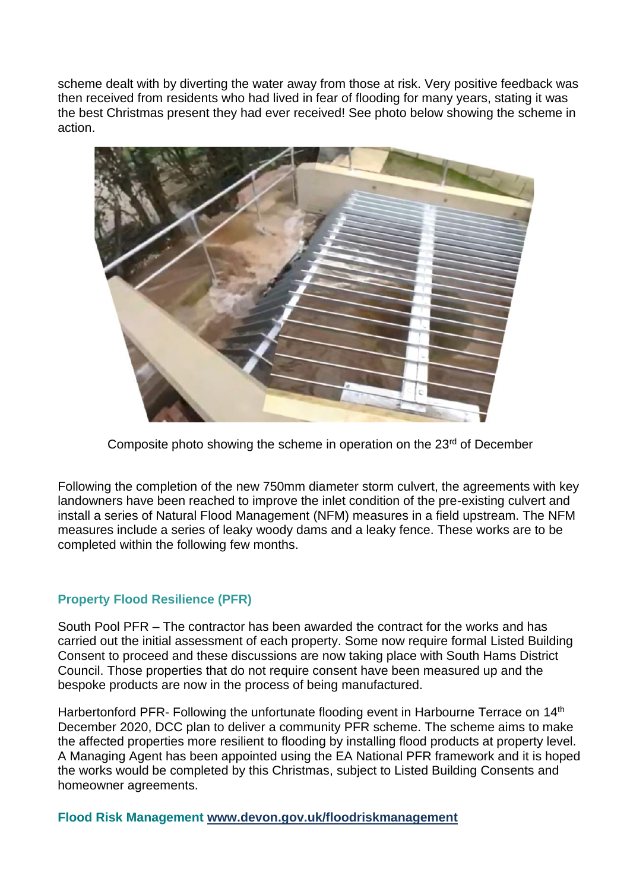scheme dealt with by diverting the water away from those at risk. Very positive feedback was then received from residents who had lived in fear of flooding for many years, stating it was the best Christmas present they had ever received! See photo below showing the scheme in action.



Composite photo showing the scheme in operation on the 23<sup>rd</sup> of December

Following the completion of the new 750mm diameter storm culvert, the agreements with key landowners have been reached to improve the inlet condition of the pre-existing culvert and install a series of Natural Flood Management (NFM) measures in a field upstream. The NFM measures include a series of leaky woody dams and a leaky fence. These works are to be completed within the following few months.

#### **Property Flood Resilience (PFR)**

South Pool PFR – The contractor has been awarded the contract for the works and has carried out the initial assessment of each property. Some now require formal Listed Building Consent to proceed and these discussions are now taking place with South Hams District Council. Those properties that do not require consent have been measured up and the bespoke products are now in the process of being manufactured.

Harbertonford PFR- Following the unfortunate flooding event in Harbourne Terrace on 14<sup>th</sup> December 2020, DCC plan to deliver a community PFR scheme. The scheme aims to make the affected properties more resilient to flooding by installing flood products at property level. A Managing Agent has been appointed using the EA National PFR framework and it is hoped the works would be completed by this Christmas, subject to Listed Building Consents and homeowner agreements.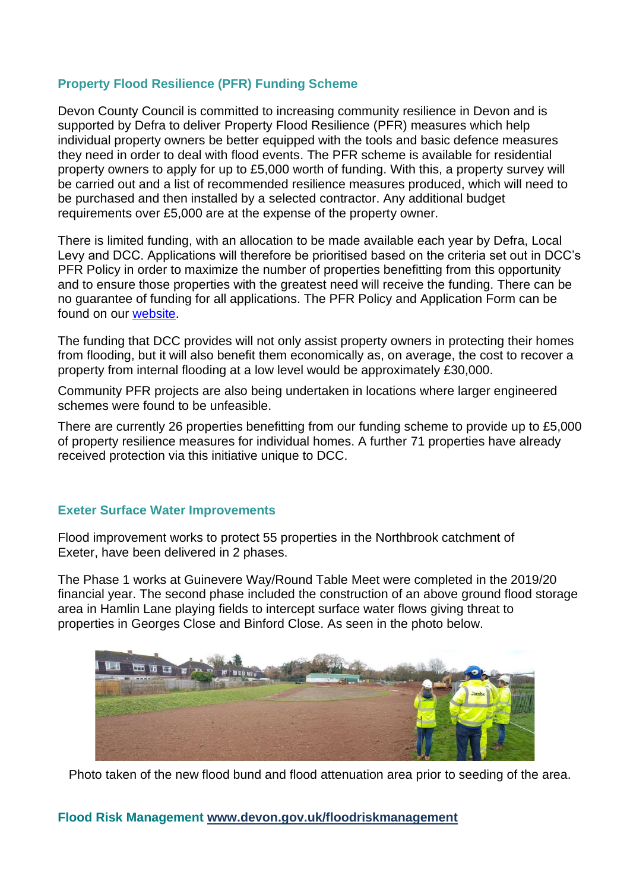#### **Property Flood Resilience (PFR) Funding Scheme**

Devon County Council is committed to increasing community resilience in Devon and is supported by Defra to deliver Property Flood Resilience (PFR) measures which help individual property owners be better equipped with the tools and basic defence measures they need in order to deal with flood events. The PFR scheme is available for residential property owners to apply for up to £5,000 worth of funding. With this, a property survey will be carried out and a list of recommended resilience measures produced, which will need to be purchased and then installed by a selected contractor. Any additional budget requirements over £5,000 are at the expense of the property owner.

There is limited funding, with an allocation to be made available each year by Defra, Local Levy and DCC. Applications will therefore be prioritised based on the criteria set out in DCC's PFR Policy in order to maximize the number of properties benefitting from this opportunity and to ensure those properties with the greatest need will receive the funding. There can be no guarantee of funding for all applications. The PFR Policy and Application Form can be found on our [website.](https://www.devon.gov.uk/floodriskmanagement/flood-resilience/property-flood-resilience-funding-scheme/)

The funding that DCC provides will not only assist property owners in protecting their homes from flooding, but it will also benefit them economically as, on average, the cost to recover a property from internal flooding at a low level would be approximately £30,000.

Community PFR projects are also being undertaken in locations where larger engineered schemes were found to be unfeasible.

There are currently 26 properties benefitting from our funding scheme to provide up to £5,000 of property resilience measures for individual homes. A further 71 properties have already received protection via this initiative unique to DCC.

#### **Exeter Surface Water Improvements**

Flood improvement works to protect 55 properties in the Northbrook catchment of Exeter, have been delivered in 2 phases.

The Phase 1 works at Guinevere Way/Round Table Meet were completed in the 2019/20 financial year. The second phase included the construction of an above ground flood storage area in Hamlin Lane playing fields to intercept surface water flows giving threat to properties in Georges Close and Binford Close. As seen in the photo below.



Photo taken of the new flood bund and flood attenuation area prior to seeding of the area.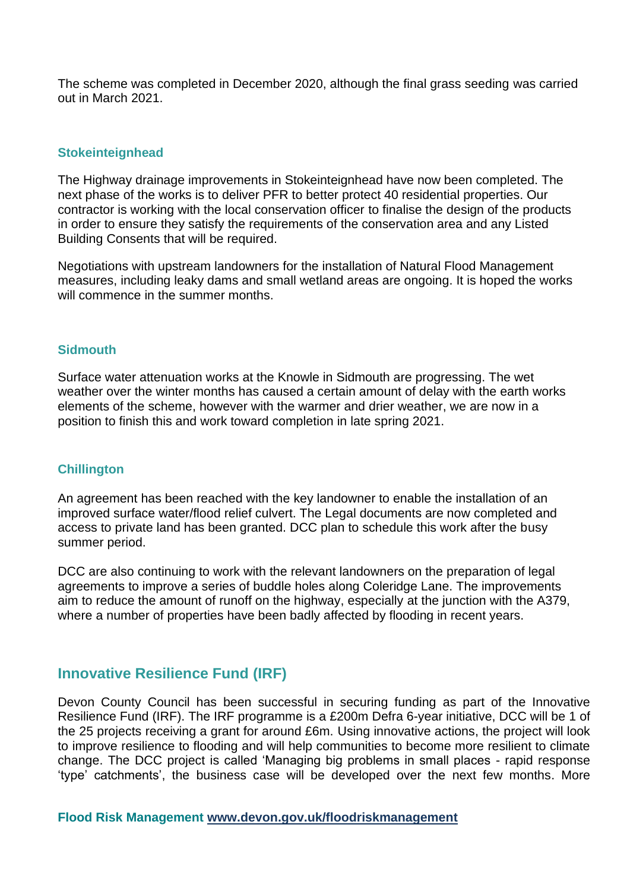The scheme was completed in December 2020, although the final grass seeding was carried out in March 2021.

#### **Stokeinteignhead**

The Highway drainage improvements in Stokeinteignhead have now been completed. The next phase of the works is to deliver PFR to better protect 40 residential properties. Our contractor is working with the local conservation officer to finalise the design of the products in order to ensure they satisfy the requirements of the conservation area and any Listed Building Consents that will be required.

Negotiations with upstream landowners for the installation of Natural Flood Management measures, including leaky dams and small wetland areas are ongoing. It is hoped the works will commence in the summer months.

#### **Sidmouth**

Surface water attenuation works at the Knowle in Sidmouth are progressing. The wet weather over the winter months has caused a certain amount of delay with the earth works elements of the scheme, however with the warmer and drier weather, we are now in a position to finish this and work toward completion in late spring 2021.

#### **Chillington**

An agreement has been reached with the key landowner to enable the installation of an improved surface water/flood relief culvert. The Legal documents are now completed and access to private land has been granted. DCC plan to schedule this work after the busy summer period.

DCC are also continuing to work with the relevant landowners on the preparation of legal agreements to improve a series of buddle holes along Coleridge Lane. The improvements aim to reduce the amount of runoff on the highway, especially at the junction with the A379, where a number of properties have been badly affected by flooding in recent years.

#### **Innovative Resilience Fund (IRF)**

Devon County Council has been successful in securing funding as part of the Innovative Resilience Fund (IRF). The IRF programme is a £200m Defra 6-year initiative, DCC will be 1 of the 25 projects receiving a grant for around £6m. Using innovative actions, the project will look to improve resilience to flooding and will help communities to become more resilient to climate change. The DCC project is called 'Managing big problems in small places - rapid response 'type' catchments', the business case will be developed over the next few months. More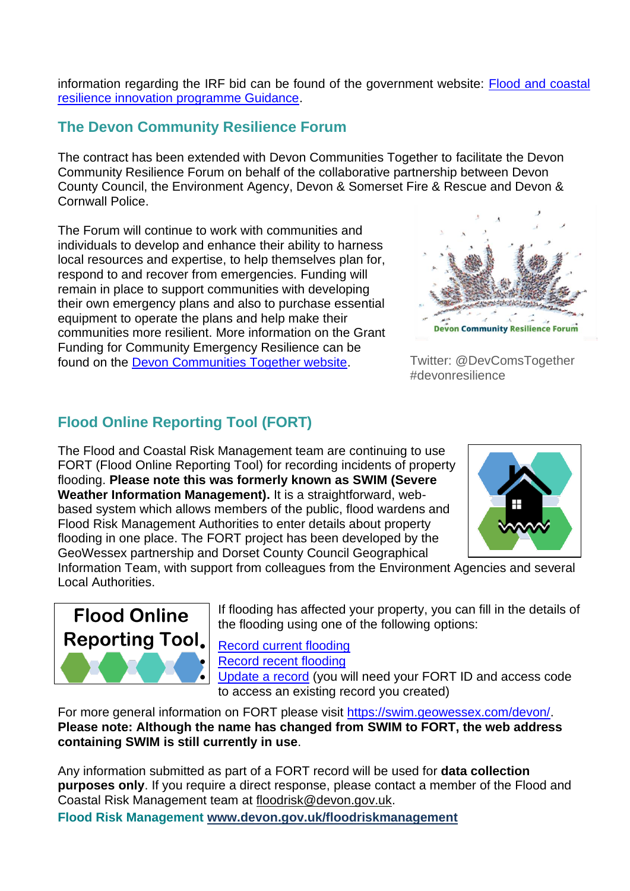information regarding the IRF bid can be found of the government website: [Flood and coastal](https://www.gov.uk/guidance/flood-and-coastal-resilience-innovation-programme)  [resilience innovation programme Guidance.](https://www.gov.uk/guidance/flood-and-coastal-resilience-innovation-programme)

## **The Devon Community Resilience Forum**

The contract has been extended with Devon Communities Together to facilitate the Devon Community Resilience Forum on behalf of the collaborative partnership between Devon County Council, the Environment Agency, Devon & Somerset Fire & Rescue and Devon & Cornwall Police.

The Forum will continue to work with communities and individuals to develop and enhance their ability to harness local resources and expertise, to help themselves plan for, respond to and recover from emergencies. Funding will remain in place to support communities with developing their own emergency plans and also to purchase essential equipment to operate the plans and help make their communities more resilient. More information on the Grant Funding for Community Emergency Resilience can be found on the [Devon Communities Together website.](https://www.devoncommunities.org.uk/grant-funding-emergency-flood-resilience)



Twitter: @DevComsTogether #devonresilience

## **Flood Online Reporting Tool (FORT)**

The Flood and Coastal Risk Management team are continuing to use FORT (Flood Online Reporting Tool) for recording incidents of property flooding. **Please note this was formerly known as SWIM (Severe Weather Information Management).** It is a straightforward, webbased system which allows members of the public, flood wardens and Flood Risk Management Authorities to enter details about property flooding in one place. The FORT project has been developed by the GeoWessex partnership and Dorset County Council Geographical



Information Team, with support from colleagues from the Environment Agencies and several Local Authorities.

# **Flood Online Reporting Tool.** [Record current flooding](https://swim.geowessex.com/devon/Report/Splash)

If flooding has affected your property, you can fill in the details of the flooding using one of the following options:

[Record recent flooding](https://swim.geowessex.com/devon/Report)

[Update a record](https://swim.geowessex.com/devon/Home/Update) (you will need your FORT ID and access code to access an existing record you created)

For more general information on FORT please visit [https://swim.geowessex.com/devon/.](https://swim.geowessex.com/devon/) **Please note: Although the name has changed from SWIM to FORT, the web address containing SWIM is still currently in use**.

Any information submitted as part of a FORT record will be used for **data collection purposes only**. If you require a direct response, please contact a member of the Flood and Coastal Risk Management team at [floodrisk@devon.gov.uk.](mailto:floodrisk@devon.gov.uk)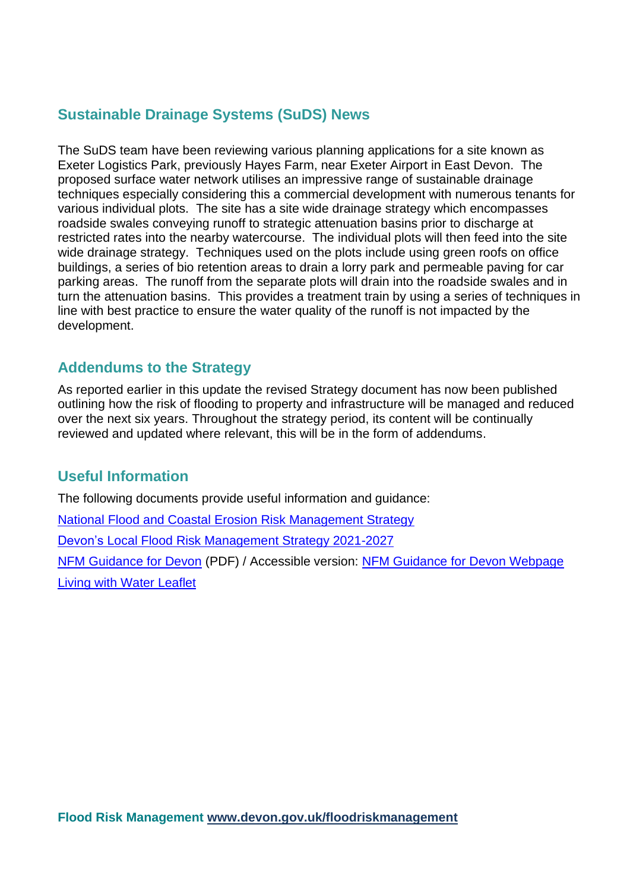## **Sustainable Drainage Systems (SuDS) News**

The SuDS team have been reviewing various planning applications for a site known as Exeter Logistics Park, previously Hayes Farm, near Exeter Airport in East Devon. The proposed surface water network utilises an impressive range of sustainable drainage techniques especially considering this a commercial development with numerous tenants for various individual plots. The site has a site wide drainage strategy which encompasses roadside swales conveying runoff to strategic attenuation basins prior to discharge at restricted rates into the nearby watercourse. The individual plots will then feed into the site wide drainage strategy. Techniques used on the plots include using green roofs on office buildings, a series of bio retention areas to drain a lorry park and permeable paving for car parking areas. The runoff from the separate plots will drain into the roadside swales and in turn the attenuation basins. This provides a treatment train by using a series of techniques in line with best practice to ensure the water quality of the runoff is not impacted by the development.

## **Addendums to the Strategy**

As reported earlier in this update the revised Strategy document has now been published outlining how the risk of flooding to property and infrastructure will be managed and reduced over the next six years. Throughout the strategy period, its content will be continually reviewed and updated where relevant, this will be in the form of addendums.

## **Useful Information**

The following documents provide useful information and guidance:

[National Flood and Coastal Erosion Risk Management Strategy](https://www.gov.uk/government/publications/national-flood-and-coastal-erosion-risk-management-strategy-for-england--2)

[Devon's Local Flood Risk Management Strategy 2021-2027](https://www.devon.gov.uk/floodriskmanagement/document/devon-local-flood-risk-management-strategy-2021-2027/)

NFM [Guidance for Devon](https://devoncc.sharepoint.com/:b:/s/PublicDocs/Planning/EUpWVAJcnE9Nj3E4hBJDGEcB0ljz9UbGKzVNss_caAEQsw?e=djDOhH) (PDF) / Accessible version: [NFM Guidance for Devon Webpage](https://www.devon.gov.uk/floodriskmanagement/document/nfm-guidance-for-devon/)

[Living with Water Leaflet](https://devoncc.sharepoint.com/:b:/s/PublicDocs/Planning/EXHK7X9mZKdPsH8wJOBJmnsBXp7XZ_V6T88aSN16P2APXg?e=CxB5rh)